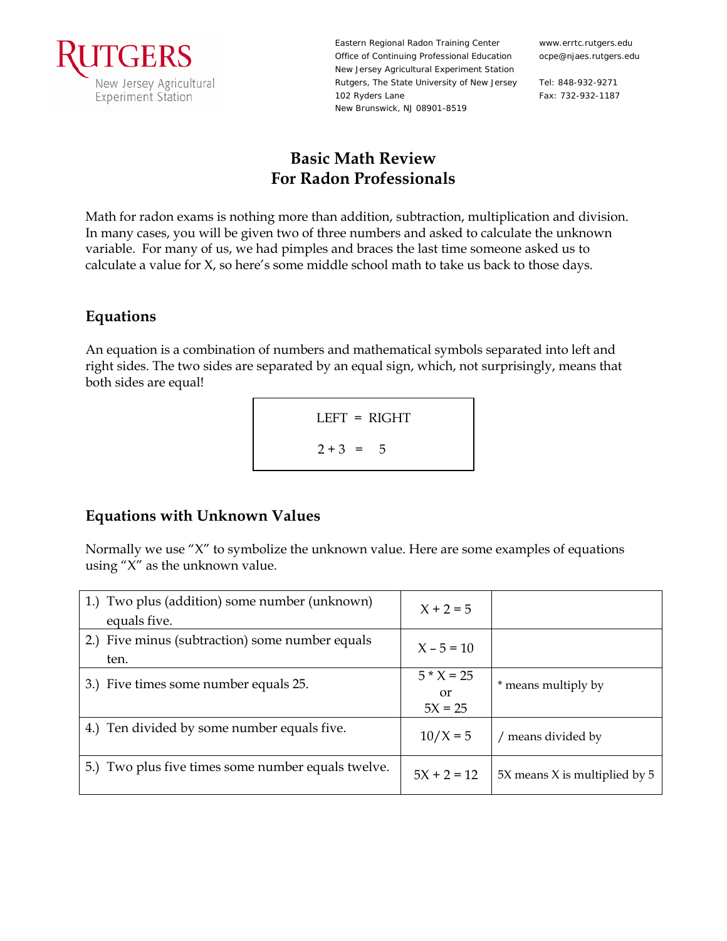

Eastern Regional Radon Training Center Office of Continuing Professional Education New Jersey Agricultural Experiment Station Rutgers, The State University of New Jersey 102 Ryders Lane New Brunswick, NJ 08901-8519

www.errtc.rutgers.edu ocpe@njaes.rutgers.edu

Tel: 848-932-9271 Fax: 732-932-1187

# **Basic Math Review For Radon Professionals**

Math for radon exams is nothing more than addition, subtraction, multiplication and division. In many cases, you will be given two of three numbers and asked to calculate the unknown variable. For many of us, we had pimples and braces the last time someone asked us to calculate a value for X, so here's some middle school math to take us back to those days.

### **Equations**

An equation is a combination of numbers and mathematical symbols separated into left and right sides. The two sides are separated by an equal sign, which, not surprisingly, means that both sides are equal!

$$
LEFT = RIGHT
$$
  

$$
2 + 3 = 5
$$

## **Equations with Unknown Values**

Normally we use "X" to symbolize the unknown value. Here are some examples of equations using " $X$ " as the unknown value.

| 1.) Two plus (addition) some number (unknown)<br>equals five. | $X + 2 = 5$                     |                               |
|---------------------------------------------------------------|---------------------------------|-------------------------------|
| 2.) Five minus (subtraction) some number equals<br>ten.       | $X - 5 = 10$                    |                               |
| 3.) Five times some number equals 25.                         | $5 * X = 25$<br>or<br>$5X = 25$ | * means multiply by           |
| 4.) Ten divided by some number equals five.                   | $10/X = 5$                      | / means divided by            |
| 5.) Two plus five times some number equals twelve.            | $5X + 2 = 12$                   | 5X means X is multiplied by 5 |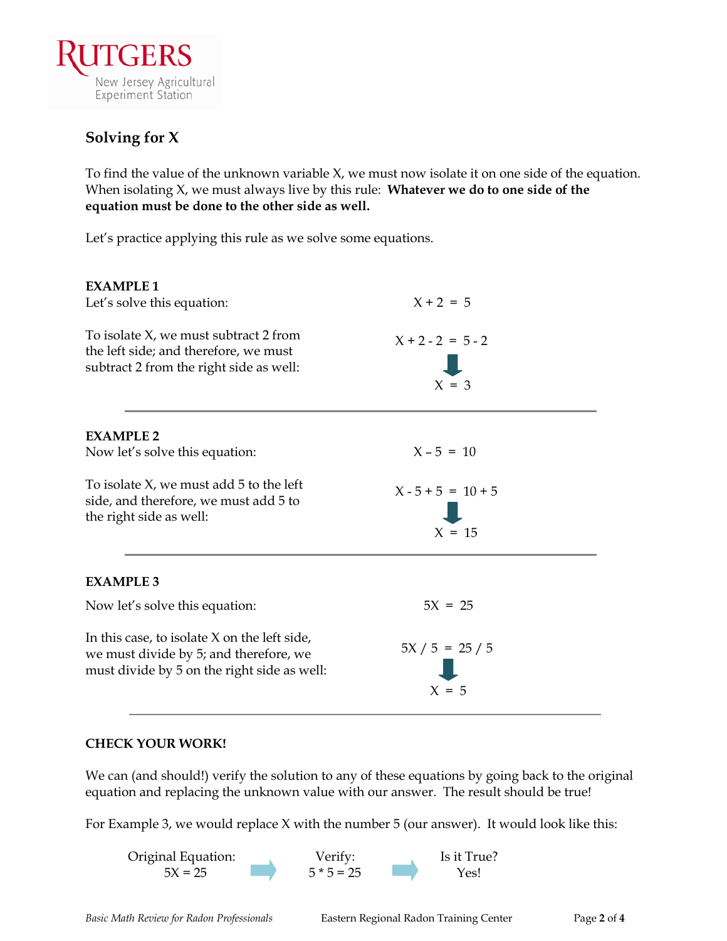

## **Solving for X**

To find the value of the unknown variable X, we must now isolate it on one side of the equation. When isolating X, we must always live by this rule: **Whatever we do to one side of the equation must be done to the other side as well.**

Let's practice applying this rule as we solve some equations.

| <b>EXAMPLE 1</b><br>Let's solve this equation:                                                                                          | $X + 2 = 5$                      |  |
|-----------------------------------------------------------------------------------------------------------------------------------------|----------------------------------|--|
| To isolate X, we must subtract 2 from<br>the left side; and therefore, we must<br>subtract 2 from the right side as well:               | $X + 2 - 2 = 5 - 2$<br>$X = 3$   |  |
| <b>EXAMPLE 2</b>                                                                                                                        |                                  |  |
| Now let's solve this equation:                                                                                                          | $X - 5 = 10$                     |  |
| To isolate $X$ , we must add $5$ to the left<br>side, and therefore, we must add 5 to<br>the right side as well:                        | $X - 5 + 5 = 10 + 5$<br>$X = 15$ |  |
| <b>EXAMPLE 3</b>                                                                                                                        |                                  |  |
| Now let's solve this equation:                                                                                                          | $5X = 25$                        |  |
| In this case, to isolate $X$ on the left side,<br>we must divide by 5; and therefore, we<br>must divide by 5 on the right side as well: | $5X / 5 = 25 / 5$<br>$X = 5$     |  |

#### **CHECK YOUR WORK!**

We can (and should!) verify the solution to any of these equations by going back to the original equation and replacing the unknown value with our answer. The result should be true!

For Example 3, we would replace X with the number 5 (our answer). It would look like this:

Original Equation: Verify: Is it True?  $5X = 25$   $5 * 5 = 25$   $Yes!$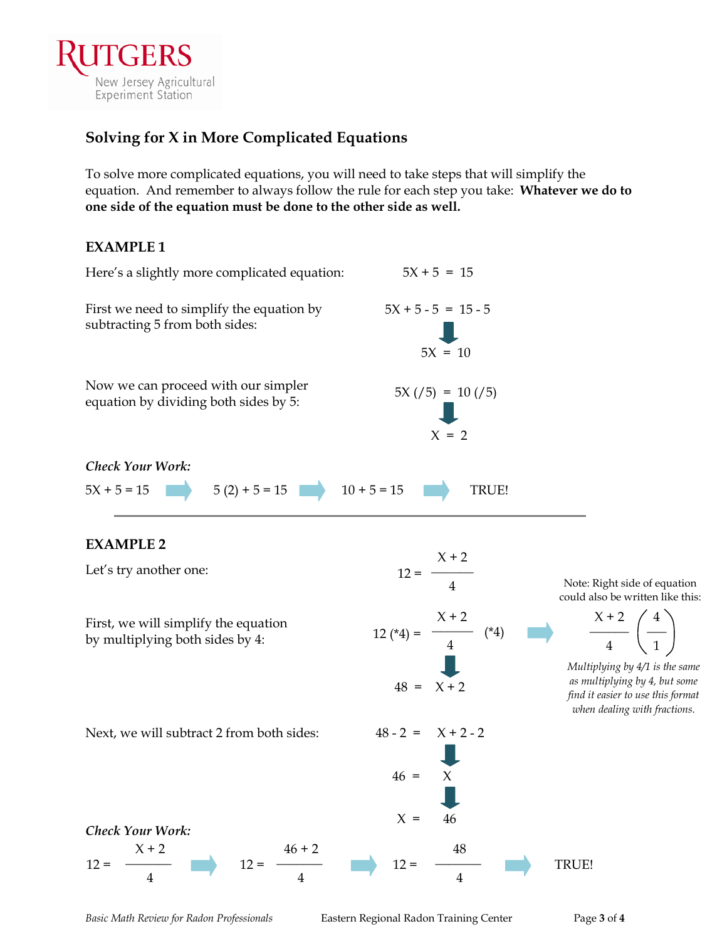

## **Solving for X in More Complicated Equations**

To solve more complicated equations, you will need to take steps that will simplify the equation. And remember to always follow the rule for each step you take: **Whatever we do to one side of the equation must be done to the other side as well.**

### **EXAMPLE 1**